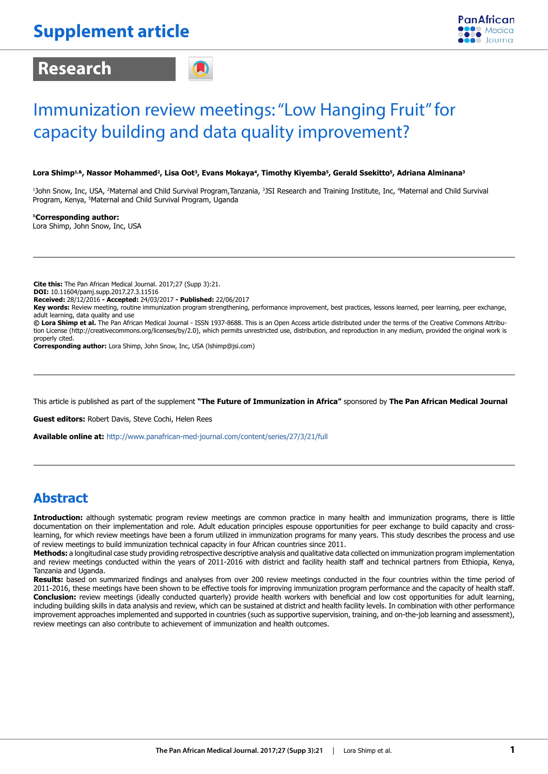# **Research**



# Immunization review meetings: "Low Hanging Fruit" for capacity building and data quality improvement?

### Lora Shimp<sup>1,&</sup>, Nassor Mohammed<sup>2</sup>, Lisa Oot<sup>3</sup>, Evans Mokaya<sup>4</sup>, Timothy Kiyemba<sup>5</sup>, Gerald Ssekitto<sup>5</sup>, Adriana Alminana<sup>3</sup>

<sup>1</sup>John Snow, Inc, USA, <sup>2</sup>Maternal and Child Survival Program,Tanzania, <sup>3</sup>JSI Research and Training Institute, Inc, <sup>4</sup>Maternal and Child Survival Program, Kenya, 5 Maternal and Child Survival Program, Uganda

&**Corresponding author:**  Lora Shimp, John Snow, Inc, USA

**Cite this:** The Pan African Medical Journal. 2017;27 (Supp 3):21.

**DOI:** 10.11604/pamj.supp.2017.27.3.11516

**Received:** 28/12/2016 **- Accepted:** 24/03/2017 **- Published:** 22/06/2017

**Key words:** Review meeting, routine immunization program strengthening, performance improvement, best practices, lessons learned, peer learning, peer exchange, adult learning, data quality and use

**© Lora Shimp et al.** The Pan African Medical Journal - ISSN 1937-8688. This is an Open Access article distributed under the terms of the Creative Commons Attribution License (http://creativecommons.org/licenses/by/2.0), which permits unrestricted use, distribution, and reproduction in any medium, provided the original work is properly cited.

**Corresponding author:** Lora Shimp, John Snow, Inc, USA (lshimp@jsi.com)

This article is published as part of the supplement **"The Future of Immunization in Africa"** sponsored by **The Pan African Medical Journal**

**Guest editors:** Robert Davis, Steve Cochi, Helen Rees

**Available online at:** http://www.panafrican-med-journal.com/content/series/27/3/21/full

### **Abstract**

**Introduction:** although systematic program review meetings are common practice in many health and immunization programs, there is little documentation on their implementation and role. Adult education principles espouse opportunities for peer exchange to build capacity and crosslearning, for which review meetings have been a forum utilized in immunization programs for many years. This study describes the process and use of review meetings to build immunization technical capacity in four African countries since 2011.

**Methods:** a longitudinal case study providing retrospective descriptive analysis and qualitative data collected on immunization program implementation and review meetings conducted within the years of 2011-2016 with district and facility health staff and technical partners from Ethiopia, Kenya, Tanzania and Uganda.

**Results:** based on summarized findings and analyses from over 200 review meetings conducted in the four countries within the time period of 2011-2016, these meetings have been shown to be effective tools for improving immunization program performance and the capacity of health staff. **Conclusion:** review meetings (ideally conducted quarterly) provide health workers with beneficial and low cost opportunities for adult learning, including building skills in data analysis and review, which can be sustained at district and health facility levels. In combination with other performance improvement approaches implemented and supported in countries (such as supportive supervision, training, and on-the-job learning and assessment), review meetings can also contribute to achievement of immunization and health outcomes.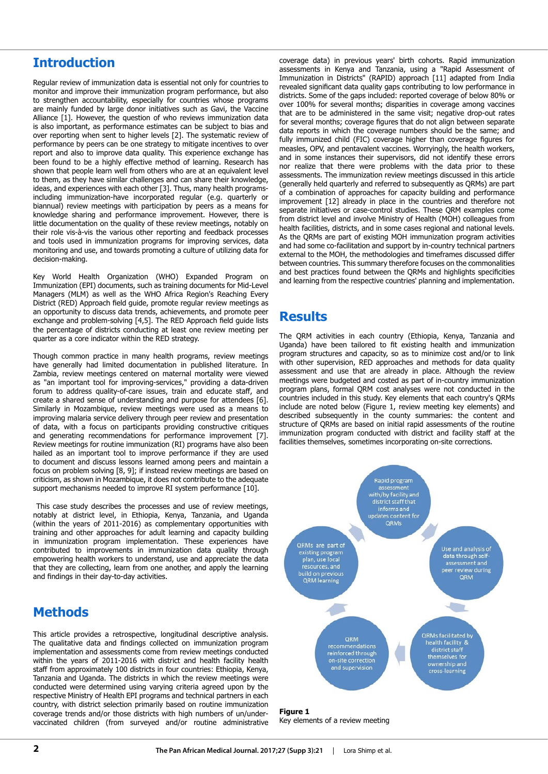### **Introduction**

Regular review of immunization data is essential not only for countries to monitor and improve their immunization program performance, but also to strengthen accountability, especially for countries whose programs are mainly funded by large donor initiatives such as Gavi, the Vaccine Alliance [1]. However, the question of who reviews immunization data is also important, as performance estimates can be subject to bias and over reporting when sent to higher levels [2]. The systematic review of performance by peers can be one strategy to mitigate incentives to over report and also to improve data quality. This experience exchange has been found to be a highly effective method of learning. Research has shown that people learn well from others who are at an equivalent level to them, as they have similar challenges and can share their knowledge, ideas, and experiences with each other [3]. Thus, many health programsincluding immunization-have incorporated regular (e.g. quarterly or biannual) review meetings with participation by peers as a means for knowledge sharing and performance improvement. However, there is little documentation on the quality of these review meetings, notably on their role vis-à-vis the various other reporting and feedback processes and tools used in immunization programs for improving services, data monitoring and use, and towards promoting a culture of utilizing data for decision-making.

Key World Health Organization (WHO) Expanded Program on Immunization (EPI) documents, such as training documents for Mid-Level Managers (MLM) as well as the WHO Africa Region's Reaching Every District (RED) Approach field guide, promote regular review meetings as an opportunity to discuss data trends, achievements, and promote peer exchange and problem-solving [4,5]. The RED Approach field guide lists the percentage of districts conducting at least one review meeting per quarter as a core indicator within the RED strategy.

Though common practice in many health programs, review meetings have generally had limited documentation in published literature. In Zambia, review meetings centered on maternal mortality were viewed as "an important tool for improving-services," providing a data-driven forum to address quality-of-care issues, train and educate staff, and create a shared sense of understanding and purpose for attendees [6]. Similarly in Mozambique, review meetings were used as a means to improving malaria service delivery through peer review and presentation of data, with a focus on participants providing constructive critiques and generating recommendations for performance improvement [7]. Review meetings for routine immunization (RI) programs have also been hailed as an important tool to improve performance if they are used to document and discuss lessons learned among peers and maintain a focus on problem solving [8, 9]; if instead review meetings are based on criticism, as shown in Mozambique, it does not contribute to the adequate support mechanisms needed to improve RI system performance [10].

 This case study describes the processes and use of review meetings, notably at district level, in Ethiopia, Kenya, Tanzania, and Uganda (within the years of 2011-2016) as complementary opportunities with training and other approaches for adult learning and capacity building in immunization program implementation. These experiences have contributed to improvements in immunization data quality through empowering health workers to understand, use and appreciate the data that they are collecting, learn from one another, and apply the learning and findings in their day-to-day activities.

# **Methods**

This article provides a retrospective, longitudinal descriptive analysis. The qualitative data and findings collected on immunization program implementation and assessments come from review meetings conducted within the years of 2011-2016 with district and health facility health staff from approximately 100 districts in four countries: Ethiopia, Kenya, Tanzania and Uganda. The districts in which the review meetings were conducted were determined using varying criteria agreed upon by the respective Ministry of Health EPI programs and technical partners in each country, with district selection primarily based on routine immunization coverage trends and/or those districts with high numbers of un/undervaccinated children (from surveyed and/or routine administrative

coverage data) in previous years' birth cohorts. Rapid immunization assessments in Kenya and Tanzania, using a "Rapid Assessment of Immunization in Districts" (RAPID) approach [11] adapted from India revealed significant data quality gaps contributing to low performance in districts. Some of the gaps included: reported coverage of below 80% or over 100% for several months; disparities in coverage among vaccines that are to be administered in the same visit; negative drop-out rates for several months; coverage figures that do not align between separate data reports in which the coverage numbers should be the same; and fully immunized child (FIC) coverage higher than coverage figures for measles, OPV, and pentavalent vaccines. Worryingly, the health workers, and in some instances their supervisors, did not identify these errors nor realize that there were problems with the data prior to these assessments. The immunization review meetings discussed in this article (generally held quarterly and referred to subsequently as QRMs) are part of a combination of approaches for capacity building and performance improvement [12] already in place in the countries and therefore not separate initiatives or case-control studies. These QRM examples come from district level and involve Ministry of Health (MOH) colleagues from health facilities, districts, and in some cases regional and national levels. As the QRMs are part of existing MOH immunization program activities and had some co-facilitation and support by in-country technical partners external to the MOH, the methodologies and timeframes discussed differ between countries. This summary therefore focuses on the commonalities and best practices found between the QRMs and highlights specificities and learning from the respective countries' planning and implementation.

### **Results**

The QRM activities in each country (Ethiopia, Kenya, Tanzania and Uganda) have been tailored to fit existing health and immunization program structures and capacity, so as to minimize cost and/or to link with other supervision, RED approaches and methods for data quality assessment and use that are already in place. Although the review meetings were budgeted and costed as part of in-country immunization program plans, formal QRM cost analyses were not conducted in the countries included in this study. Key elements that each country's QRMs include are noted below (Figure 1, review meeting key elements) and described subsequently in the county summaries: the content and structure of QRMs are based on initial rapid assessments of the routine immunization program conducted with district and facility staff at the facilities themselves, sometimes incorporating on-site corrections.



**Figure 1** Key elements of a review meeting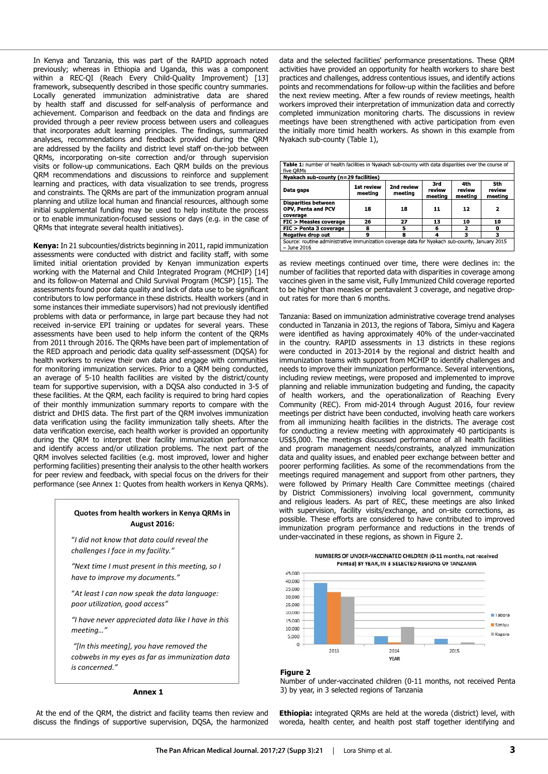In Kenya and Tanzania, this was part of the RAPID approach noted previously; whereas in Ethiopia and Uganda, this was a component within a REC-QI (Reach Every Child-Quality Improvement) [13] framework, subsequently described in those specific country summaries. Locally generated immunization administrative data are shared by health staff and discussed for self-analysis of performance and achievement. Comparison and feedback on the data and findings are provided through a peer review process between users and colleagues that incorporates adult learning principles. The findings, summarized analyses, recommendations and feedback provided during the QRM are addressed by the facility and district level staff on-the-job between QRMs, incorporating on-site correction and/or through supervision visits or follow-up communications. Each QRM builds on the previous QRM recommendations and discussions to reinforce and supplement learning and practices, with data visualization to see trends, progress and constraints. The QRMs are part of the immunization program annual planning and utilize local human and financial resources, although some initial supplemental funding may be used to help institute the process or to enable immunization-focused sessions or days (e.g. in the case of QRMs that integrate several health initiatives).

**Kenya:** In 21 subcounties/districts beginning in 2011, rapid immunization assessments were conducted with district and facility staff, with some limited initial orientation provided by Kenyan immunization experts working with the Maternal and Child Integrated Program (MCHIP) [14] and its follow-on Maternal and Child Survival Program (MCSP) [15]. The assessments found poor data quality and lack of data use to be significant contributors to low performance in these districts. Health workers (and in some instances their immediate supervisors) had not previously identified problems with data or performance, in large part because they had not received in-service EPI training or updates for several years. These assessments have been used to help inform the content of the QRMs from 2011 through 2016. The QRMs have been part of implementation of the RED approach and periodic data quality self-assessment (DQSA) for health workers to review their own data and engage with communities for monitoring immunization services. Prior to a QRM being conducted, an average of 5-10 health facilities are visited by the district/county team for supportive supervision, with a DQSA also conducted in 3-5 of these facilities. At the QRM, each facility is required to bring hard copies of their monthly immunization summary reports to compare with the district and DHIS data. The first part of the QRM involves immunization data verification using the facility immunization tally sheets. After the data verification exercise, each health worker is provided an opportunity during the QRM to interpret their facility immunization performance and identify access and/or utilization problems. The next part of the QRM involves selected facilities (e.g. most improved, lower and higher performing facilities) presenting their analysis to the other health workers for peer review and feedback, with special focus on the drivers for their performance (see Annex 1: Quotes from health workers in Kenya QRMs).

### **Quotes from health workers in Kenya QRMs in August 2016:**

"*I did not know that data could reveal the challenges I face in my facility."* 

*"Next time I must present in this meeting, so I have to improve my documents."* 

"*At least I can now speak the data language: poor utilization, good access"* 

*"I have never appreciated data like I have in this meeting…"* 

 *"[In this meeting], you have removed the cobwebs in my eyes as far as immunization data is concerned."* 

#### **Annex 1**

 At the end of the QRM, the district and facility teams then review and discuss the findings of supportive supervision, DQSA, the harmonized

data and the selected facilities' performance presentations. These QRM activities have provided an opportunity for health workers to share best practices and challenges, address contentious issues, and identify actions points and recommendations for follow-up within the facilities and before the next review meeting. After a few rounds of review meetings, health workers improved their interpretation of immunization data and correctly completed immunization monitoring charts. The discussions in review meetings have been strengthened with active participation from even the initially more timid health workers. As shown in this example from Nyakach sub-county (Table 1),

| Table 1: number of health facilities in Nyakach sub-county with data disparities over the course of<br>five ORMs |                       |                       |                          |                          |                          |
|------------------------------------------------------------------------------------------------------------------|-----------------------|-----------------------|--------------------------|--------------------------|--------------------------|
| Nyakach sub-county (n=29 facilities)                                                                             |                       |                       |                          |                          |                          |
| Data gaps                                                                                                        | 1st review<br>meeting | 2nd review<br>meeting | 3rd<br>review<br>meeting | 4th<br>review<br>meeting | 5th<br>review<br>meeting |
| <b>Disparities between</b><br>OPV, Penta and PCV<br>coverage                                                     | 18                    | 18                    | 11                       | 12                       | 2                        |
| FIC > Measles coverage                                                                                           | 26                    | 27                    | 13                       | 10                       | 10                       |
| FIC > Penta 3 coverage                                                                                           | 8                     | 5                     | 6                        | 2                        |                          |
| <b>Negative drop out</b>                                                                                         | q                     | 8                     | 4                        | з                        | з                        |
| Source: routine administrative immunization coverage data for Nyakach sub-county, January 2015<br>- June 2016    |                       |                       |                          |                          |                          |

as review meetings continued over time, there were declines in: the number of facilities that reported data with disparities in coverage among vaccines given in the same visit, Fully Immunized Child coverage reported to be higher than measles or pentavalent 3 coverage, and negative dropout rates for more than 6 months.

Tanzania: Based on immunization administrative coverage trend analyses conducted in Tanzania in 2013, the regions of Tabora, Simiyu and Kagera were identified as having approximately 40% of the under-vaccinated in the country. RAPID assessments in 13 districts in these regions were conducted in 2013-2014 by the regional and district health and immunization teams with support from MCHIP to identify challenges and needs to improve their immunization performance. Several interventions, including review meetings, were proposed and implemented to improve planning and reliable immunization budgeting and funding, the capacity of health workers, and the operationalization of Reaching Every Community (REC). From mid-2014 through August 2016, four review meetings per district have been conducted, involving heath care workers from all immunizing health facilities in the districts. The average cost for conducting a review meeting with approximately 40 participants is US\$5,000. The meetings discussed performance of all health facilities and program management needs/constraints, analyzed immunization data and quality issues, and enabled peer exchange between better and poorer performing facilities. As some of the recommendations from the meetings required management and support from other partners, they were followed by Primary Health Care Committee meetings (chaired by District Commissioners) involving local government, community and religious leaders. As part of REC, these meetings are also linked with supervision, facility visits/exchange, and on-site corrections, as possible. These efforts are considered to have contributed to improved immunization program performance and reductions in the trends of under-vaccinated in these regions, as shown in Figure 2.





### **Figure 2**



**Ethiopia:** integrated QRMs are held at the woreda (district) level, with woreda, health center, and health post staff together identifying and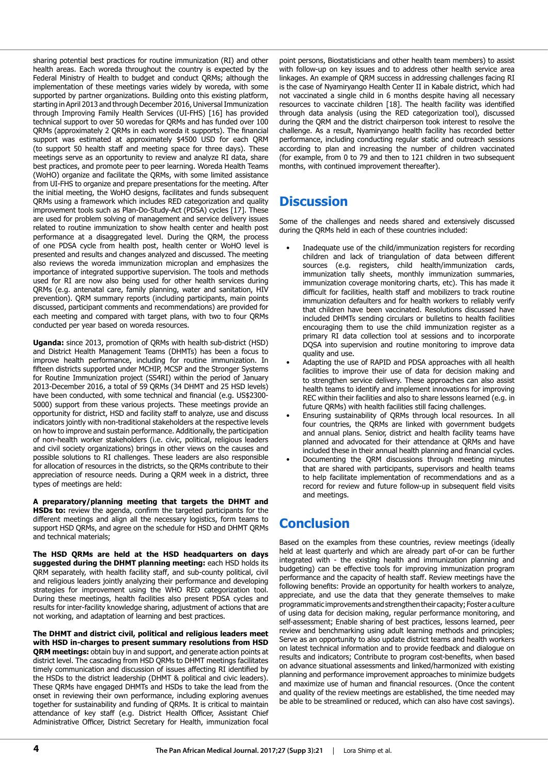sharing potential best practices for routine immunization (RI) and other health areas. Each woreda throughout the country is expected by the Federal Ministry of Health to budget and conduct QRMs; although the implementation of these meetings varies widely by woreda, with some supported by partner organizations. Building onto this existing platform, starting in April 2013 and through December 2016, Universal Immunization through Improving Family Health Services (UI-FHS) [16] has provided technical support to over 50 woredas for QRMs and has funded over 100 QRMs (approximately 2 QRMs in each woreda it supports). The financial support was estimated at approximately \$4500 USD for each QRM (to support 50 health staff and meeting space for three days). These meetings serve as an opportunity to review and analyze RI data, share best practices, and promote peer to peer learning. Woreda Health Teams (WoHO) organize and facilitate the QRMs, with some limited assistance from UI-FHS to organize and prepare presentations for the meeting. After the initial meeting, the WoHO designs, facilitates and funds subsequent QRMs using a framework which includes RED categorization and quality improvement tools such as Plan-Do-Study-Act (PDSA) cycles [17]. These are used for problem solving of management and service delivery issues related to routine immunization to show health center and health post performance at a disaggregated level. During the QRM, the process of one PDSA cycle from health post, health center or WoHO level is presented and results and changes analyzed and discussed. The meeting also reviews the woreda immunization microplan and emphasizes the importance of integrated supportive supervision. The tools and methods used for RI are now also being used for other health services during QRMs (e.g. antenatal care, family planning, water and sanitation, HIV prevention). QRM summary reports (including participants, main points discussed, participant comments and recommendations) are provided for each meeting and compared with target plans, with two to four QRMs conducted per year based on woreda resources.

**Uganda:** since 2013, promotion of QRMs with health sub-district (HSD) and District Health Management Teams (DHMTs) has been a focus to improve health performance, including for routine immunization. In fifteen districts supported under MCHIP, MCSP and the Stronger Systems for Routine Immunization project (SS4RI) within the period of January 2013-December 2016, a total of 59 QRMs (34 DHMT and 25 HSD levels) have been conducted, with some technical and financial (e.g. US\$2300- 5000) support from these various projects. These meetings provide an opportunity for district, HSD and facility staff to analyze, use and discuss indicators jointly with non-traditional stakeholders at the respective levels on how to improve and sustain performance. Additionally, the participation of non-health worker stakeholders (i.e. civic, political, religious leaders and civil society organizations) brings in other views on the causes and possible solutions to RI challenges. These leaders are also responsible for allocation of resources in the districts, so the QRMs contribute to their appreciation of resource needs. During a QRM week in a district, three types of meetings are held:

**A preparatory/planning meeting that targets the DHMT and HSDs to:** review the agenda, confirm the targeted participants for the different meetings and align all the necessary logistics, form teams to support HSD QRMs, and agree on the schedule for HSD and DHMT QRMs and technical materials;

**The HSD QRMs are held at the HSD headquarters on days suggested during the DHMT planning meeting:** each HSD holds its QRM separately, with health facility staff, and sub-county political, civil and religious leaders jointly analyzing their performance and developing strategies for improvement using the WHO RED categorization tool. During these meetings, health facilities also present PDSA cycles and results for inter-facility knowledge sharing, adjustment of actions that are not working, and adaptation of learning and best practices.

**The DHMT and district civil, political and religious leaders meet with HSD in-charges to present summary resolutions from HSD QRM meetings:** obtain buy in and support, and generate action points at district level. The cascading from HSD QRMs to DHMT meetings facilitates timely communication and discussion of issues affecting RI identified by the HSDs to the district leadership (DHMT & political and civic leaders). These QRMs have engaged DHMTs and HSDs to take the lead from the onset in reviewing their own performance, including exploring avenues together for sustainability and funding of QRMs. It is critical to maintain attendance of key staff (e.g. District Health Officer, Assistant Chief Administrative Officer, District Secretary for Health, immunization focal

point persons, Biostatisticians and other health team members) to assist with follow-up on key issues and to address other health service area linkages. An example of QRM success in addressing challenges facing RI is the case of Nyamiryango Health Center II in Kabale district, which had not vaccinated a single child in 6 months despite having all necessary resources to vaccinate children [18]. The health facility was identified through data analysis (using the RED categorization tool), discussed during the QRM and the district chairperson took interest to resolve the challenge. As a result, Nyamiryango health facility has recorded better performance, including conducting regular static and outreach sessions according to plan and increasing the number of children vaccinated (for example, from 0 to 79 and then to 121 children in two subsequent months, with continued improvement thereafter).

# **Discussion**

Some of the challenges and needs shared and extensively discussed during the QRMs held in each of these countries included:

- Inadequate use of the child/immunization registers for recording children and lack of triangulation of data between different sources (e.g. registers, child health/immunization cards, immunization tally sheets, monthly immunization summaries, immunization coverage monitoring charts, etc). This has made it difficult for facilities, health staff and mobilizers to track routine immunization defaulters and for health workers to reliably verify that children have been vaccinated. Resolutions discussed have included DHMTs sending circulars or bulletins to health facilities encouraging them to use the child immunization register as a primary RI data collection tool at sessions and to incorporate DQSA into supervision and routine monitoring to improve data quality and use.
- Adapting the use of RAPID and PDSA approaches with all health facilities to improve their use of data for decision making and to strengthen service delivery. These approaches can also assist health teams to identify and implement innovations for improving REC within their facilities and also to share lessons learned (e.g. in future QRMs) with health facilities still facing challenges.
- Ensuring sustainability of QRMs through local resources. In all four countries, the QRMs are linked with government budgets and annual plans. Senior, district and health facility teams have planned and advocated for their attendance at QRMs and have included these in their annual health planning and financial cycles.
- Documenting the QRM discussions through meeting minutes that are shared with participants, supervisors and health teams to help facilitate implementation of recommendations and as a record for review and future follow-up in subsequent field visits and meetings.

# **Conclusion**

Based on the examples from these countries, review meetings (ideally held at least quarterly and which are already part of-or can be further integrated with - the existing health and immunization planning and budgeting) can be effective tools for improving immunization program performance and the capacity of health staff. Review meetings have the following benefits: Provide an opportunity for health workers to analyze, appreciate, and use the data that they generate themselves to make programmatic improvements and strengthen their capacity; Foster a culture of using data for decision making, regular performance monitoring, and self-assessment; Enable sharing of best practices, lessons learned, peer review and benchmarking using adult learning methods and principles; Serve as an opportunity to also update district teams and health workers on latest technical information and to provide feedback and dialogue on results and indicators; Contribute to program cost-benefits, when based on advance situational assessments and linked/harmonized with existing planning and performance improvement approaches to minimize budgets and maximize use of human and financial resources. (Once the content and quality of the review meetings are established, the time needed may be able to be streamlined or reduced, which can also have cost savings).